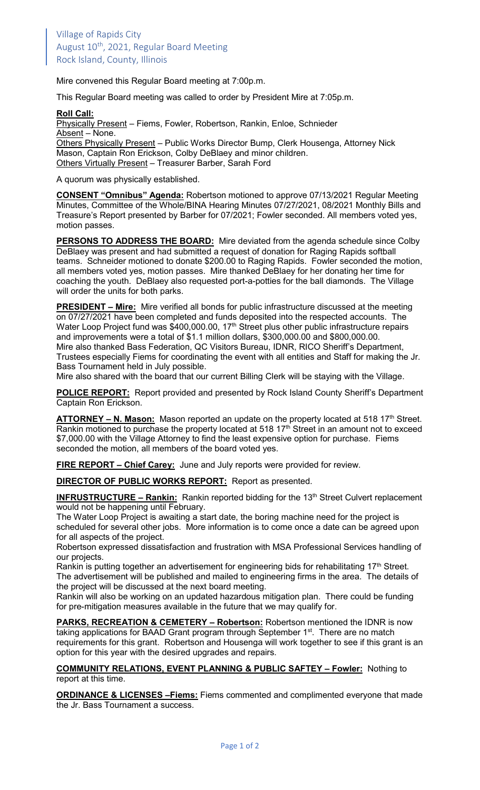Mire convened this Regular Board meeting at 7:00p.m.

This Regular Board meeting was called to order by President Mire at 7:05p.m.

## **Roll Call:**

Physically Present – Fiems, Fowler, Robertson, Rankin, Enloe, Schnieder Absent - None. Others Physically Present - Public Works Director Bump, Clerk Housenga, Attorney Nick Mason, Captain Ron Erickson, Colby DeBlaey and minor children.

Others Virtually Present – Treasurer Barber, Sarah Ford

A quorum was physically established.

**CONSENT "Omnibus" Agenda:** Robertson motioned to approve 07/13/2021 Regular Meeting Minutes, Committee of the Whole/BINA Hearing Minutes 07/27/2021, 08/2021 Monthly Bills and Treasure's Report presented by Barber for 07/2021; Fowler seconded. All members voted yes, motion passes.

**PERSONS TO ADDRESS THE BOARD:** Mire deviated from the agenda schedule since Colby DeBlaey was present and had submitted a request of donation for Raging Rapids softball teams. Schneider motioned to donate \$200.00 to Raging Rapids. Fowler seconded the motion, all members voted yes, motion passes. Mire thanked DeBlaey for her donating her time for coaching the youth. DeBlaey also requested port-a-potties for the ball diamonds. The Village will order the units for both parks.

**PRESIDENT – Mire:** Mire verified all bonds for public infrastructure discussed at the meeting on 07/27/2021 have been completed and funds deposited into the respected accounts. The Water Loop Project fund was \$400,000.00, 17<sup>th</sup> Street plus other public infrastructure repairs and improvements were a total of \$1.1 million dollars, \$300,000.00 and \$800,000.00. Mire also thanked Bass Federation, QC Visitors Bureau, IDNR, RICO Sheriff's Department, Trustees especially Fiems for coordinating the event with all entities and Staff for making the Jr. Bass Tournament held in July possible.

Mire also shared with the board that our current Billing Clerk will be staying with the Village.

**POLICE REPORT:** Report provided and presented by Rock Island County Sheriff's Department Captain Ron Erickson.

**ATTORNEY – N. Mason:** Mason reported an update on the property located at 518 17<sup>th</sup> Street. Rankin motioned to purchase the property located at 518 17<sup>th</sup> Street in an amount not to exceed \$7,000.00 with the Village Attorney to find the least expensive option for purchase. Fiems seconded the motion, all members of the board voted yes.

**FIRE REPORT – Chief Carey:** June and July reports were provided for review.

**DIRECTOR OF PUBLIC WORKS REPORT:** Report as presented.

**INFRUSTRUCTURE – Rankin:** Rankin reported bidding for the 13<sup>th</sup> Street Culvert replacement would not be happening until February.

The Water Loop Project is awaiting a start date, the boring machine need for the project is scheduled for several other jobs. More information is to come once a date can be agreed upon for all aspects of the project.

Robertson expressed dissatisfaction and frustration with MSA Professional Services handling of our projects.

Rankin is putting together an advertisement for engineering bids for rehabilitating 17<sup>th</sup> Street. The advertisement will be published and mailed to engineering firms in the area. The details of the project will be discussed at the next board meeting.

Rankin will also be working on an updated hazardous mitigation plan. There could be funding for pre-mitigation measures available in the future that we may qualify for.

**PARKS, RECREATION & CEMETERY – Robertson:** Robertson mentioned the IDNR is now taking applications for BAAD Grant program through September 1<sup>st</sup>. There are no match requirements for this grant. Robertson and Housenga will work together to see if this grant is an option for this year with the desired upgrades and repairs.

**COMMUNITY RELATIONS, EVENT PLANNING & PUBLIC SAFTEY – Fowler:** Nothing to report at this time.

**ORDINANCE & LICENSES –Fiems:** Fiems commented and complimented everyone that made the Jr. Bass Tournament a success.